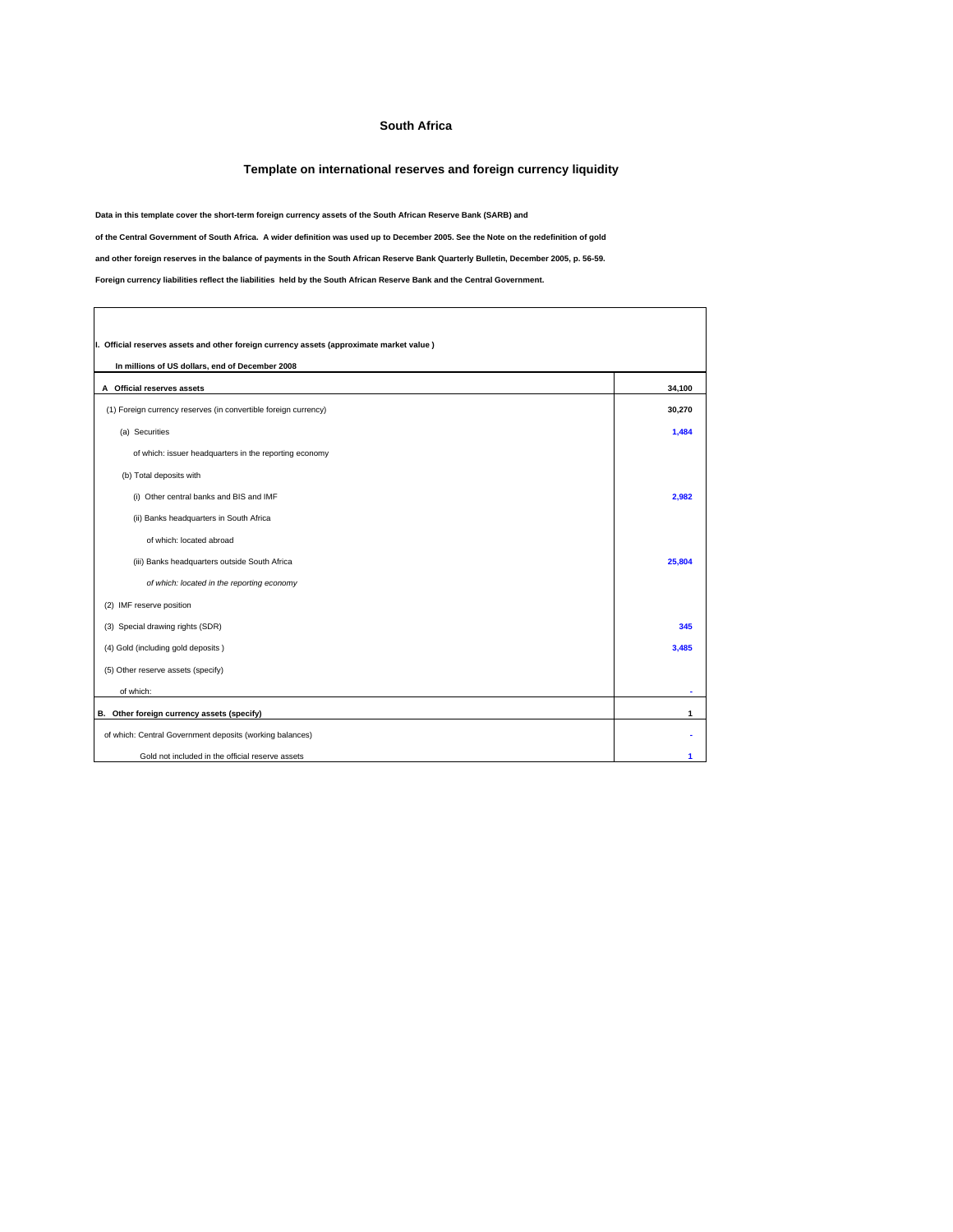## **South Africa**

## **Template on international reserves and foreign currency liquidity**

**Data in this template cover the short-term foreign currency assets of the South African Reserve Bank (SARB) and**

**of the Central Government of South Africa. A wider definition was used up to December 2005. See the Note on the redefinition of gold**

**and other foreign reserves in the balance of payments in the South African Reserve Bank Quarterly Bulletin, December 2005, p. 56-59.**

**Foreign currency liabilities reflect the liabilities held by the South African Reserve Bank and the Central Government.**

 $\Gamma$ 

| I. Official reserves assets and other foreign currency assets (approximate market value) |        |  |  |
|------------------------------------------------------------------------------------------|--------|--|--|
| In millions of US dollars, end of December 2008                                          |        |  |  |
| A Official reserves assets                                                               | 34,100 |  |  |
| (1) Foreign currency reserves (in convertible foreign currency)                          | 30,270 |  |  |
| (a) Securities                                                                           | 1.484  |  |  |
| of which: issuer headquarters in the reporting economy                                   |        |  |  |
| (b) Total deposits with                                                                  |        |  |  |
| (i) Other central banks and BIS and IMF                                                  | 2,982  |  |  |
| (ii) Banks headquarters in South Africa                                                  |        |  |  |
| of which: located abroad                                                                 |        |  |  |
| (iii) Banks headquarters outside South Africa                                            | 25.804 |  |  |
| of which: located in the reporting economy                                               |        |  |  |
| (2) IMF reserve position                                                                 |        |  |  |
| (3) Special drawing rights (SDR)                                                         | 345    |  |  |
| (4) Gold (including gold deposits)                                                       | 3.485  |  |  |
| (5) Other reserve assets (specify)                                                       |        |  |  |
| of which:                                                                                |        |  |  |
| B. Other foreign currency assets (specify)                                               | 1      |  |  |
| of which: Central Government deposits (working balances)                                 |        |  |  |
| Gold not included in the official reserve assets                                         | 1      |  |  |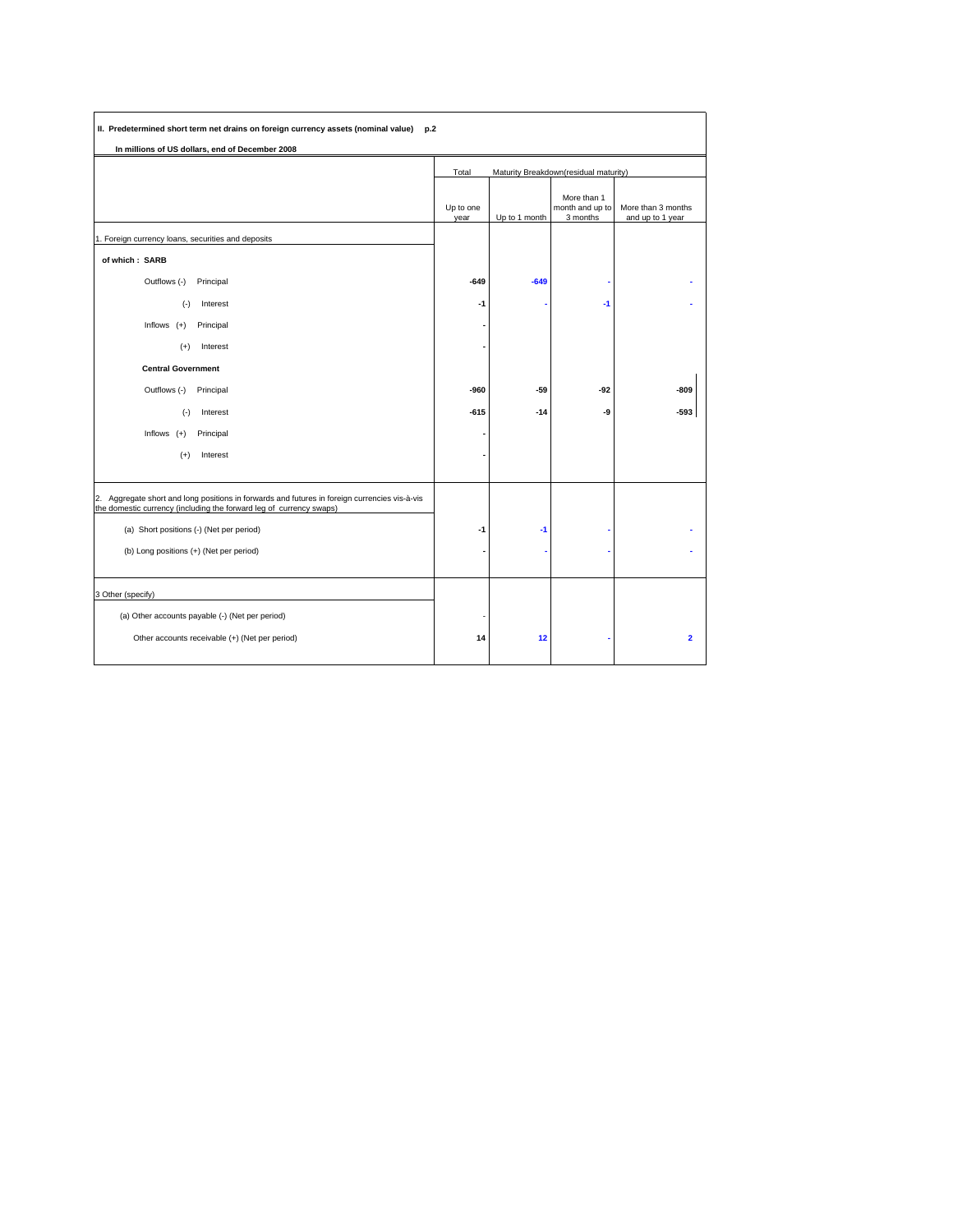| II. Predetermined short term net drains on foreign currency assets (nominal value) p.2<br>In millions of US dollars, end of December 2008                            |                   |               |                                            |                                        |
|----------------------------------------------------------------------------------------------------------------------------------------------------------------------|-------------------|---------------|--------------------------------------------|----------------------------------------|
|                                                                                                                                                                      | Total             |               | Maturity Breakdown(residual maturity)      |                                        |
|                                                                                                                                                                      | Up to one<br>year | Up to 1 month | More than 1<br>month and up to<br>3 months | More than 3 months<br>and up to 1 year |
| 1. Foreign currency loans, securities and deposits                                                                                                                   |                   |               |                                            |                                        |
| of which: SARB                                                                                                                                                       |                   |               |                                            |                                        |
| Outflows (-)<br>Principal                                                                                                                                            | $-649$            | $-649$        |                                            |                                        |
| $(-)$<br>Interest                                                                                                                                                    | -1                |               | $-1$                                       |                                        |
| Inflows $(+)$<br>Principal                                                                                                                                           |                   |               |                                            |                                        |
| Interest<br>$(+)$                                                                                                                                                    |                   |               |                                            |                                        |
| <b>Central Government</b>                                                                                                                                            |                   |               |                                            |                                        |
| Outflows (-)<br>Principal                                                                                                                                            | -960              | $-59$         | $-92$                                      | $-809$                                 |
| $(-)$<br>Interest                                                                                                                                                    | $-615$            | $-14$         | -9                                         | $-593$                                 |
| Inflows $(+)$<br>Principal                                                                                                                                           |                   |               |                                            |                                        |
| $(+)$<br>Interest                                                                                                                                                    |                   |               |                                            |                                        |
|                                                                                                                                                                      |                   |               |                                            |                                        |
| 2. Aggregate short and long positions in forwards and futures in foreign currencies vis-à-vis<br>the domestic currency (including the forward leg of currency swaps) |                   |               |                                            |                                        |
| (a) Short positions (-) (Net per period)                                                                                                                             | -1                | $-1$          |                                            |                                        |
| (b) Long positions (+) (Net per period)                                                                                                                              |                   |               |                                            |                                        |
|                                                                                                                                                                      |                   |               |                                            |                                        |
| 3 Other (specify)                                                                                                                                                    |                   |               |                                            |                                        |
| (a) Other accounts payable (-) (Net per period)                                                                                                                      |                   |               |                                            |                                        |
| Other accounts receivable (+) (Net per period)                                                                                                                       | 14                | 12            |                                            | $\overline{\mathbf{2}}$                |
|                                                                                                                                                                      |                   |               |                                            |                                        |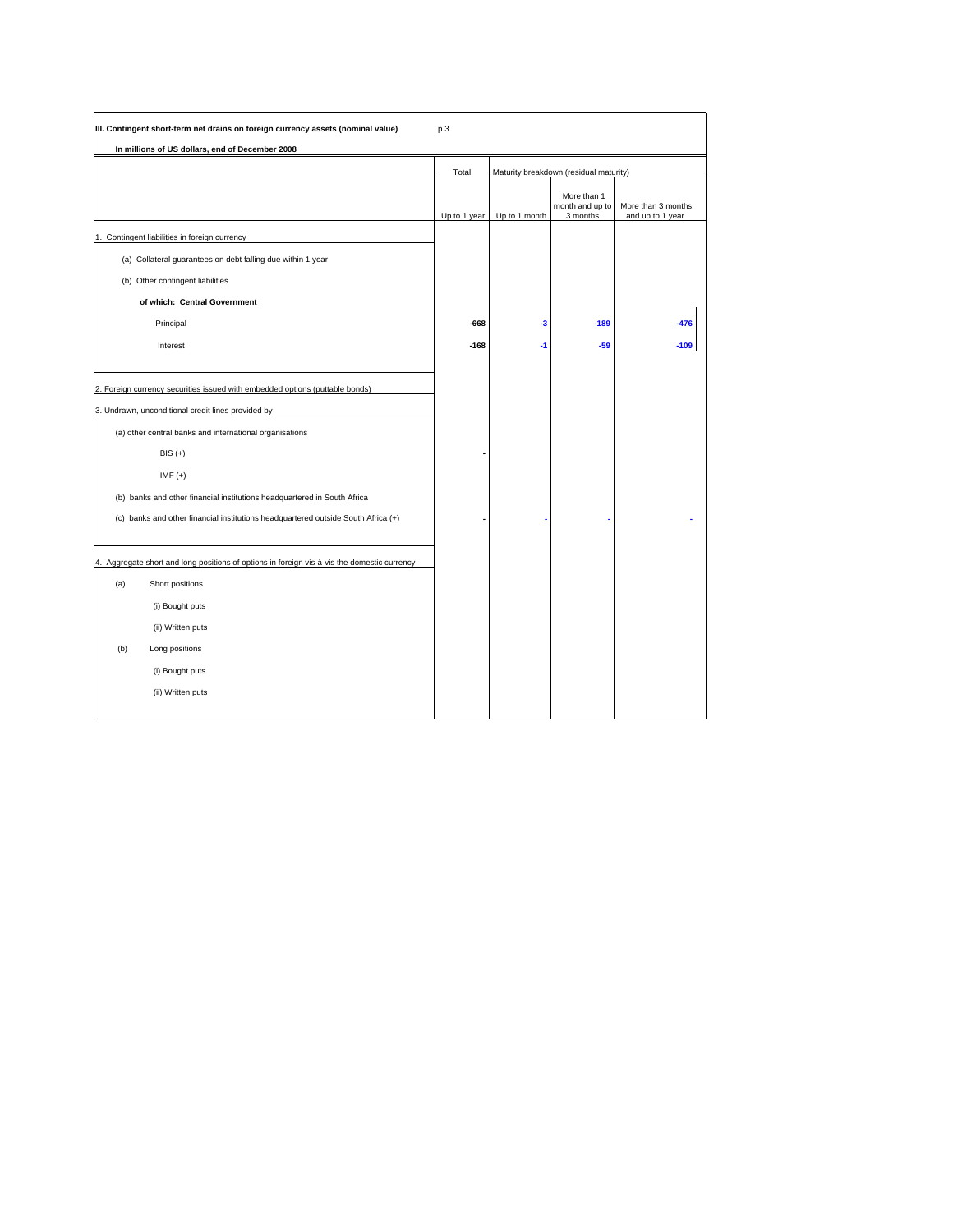| III. Contingent short-term net drains on foreign currency assets (nominal value)            | p.3          |               |                                            |                                        |
|---------------------------------------------------------------------------------------------|--------------|---------------|--------------------------------------------|----------------------------------------|
| In millions of US dollars, end of December 2008                                             |              |               |                                            |                                        |
|                                                                                             | Total        |               | Maturity breakdown (residual maturity)     |                                        |
|                                                                                             | Up to 1 year | Up to 1 month | More than 1<br>month and up to<br>3 months | More than 3 months<br>and up to 1 year |
| 1. Contingent liabilities in foreign currency                                               |              |               |                                            |                                        |
| (a) Collateral guarantees on debt falling due within 1 year                                 |              |               |                                            |                                        |
| (b) Other contingent liabilities                                                            |              |               |                                            |                                        |
| of which: Central Government                                                                |              |               |                                            |                                        |
| Principal                                                                                   | $-668$       | -3            | $-189$                                     | $-476$                                 |
| Interest                                                                                    | $-168$       | -1            | $-59$                                      | $-109$                                 |
|                                                                                             |              |               |                                            |                                        |
| 2. Foreign currency securities issued with embedded options (puttable bonds)                |              |               |                                            |                                        |
| 3. Undrawn, unconditional credit lines provided by                                          |              |               |                                            |                                        |
| (a) other central banks and international organisations                                     |              |               |                                            |                                        |
| $BIS (+)$                                                                                   |              |               |                                            |                                        |
| $IMF (+)$                                                                                   |              |               |                                            |                                        |
| (b) banks and other financial institutions headquartered in South Africa                    |              |               |                                            |                                        |
| (c) banks and other financial institutions headquartered outside South Africa (+)           |              |               |                                            |                                        |
|                                                                                             |              |               |                                            |                                        |
| 4. Aggregate short and long positions of options in foreign vis-à-vis the domestic currency |              |               |                                            |                                        |
| Short positions<br>(a)                                                                      |              |               |                                            |                                        |
| (i) Bought puts                                                                             |              |               |                                            |                                        |
| (ii) Written puts                                                                           |              |               |                                            |                                        |
| (b)<br>Long positions                                                                       |              |               |                                            |                                        |
| (i) Bought puts                                                                             |              |               |                                            |                                        |
| (ii) Written puts                                                                           |              |               |                                            |                                        |
|                                                                                             |              |               |                                            |                                        |